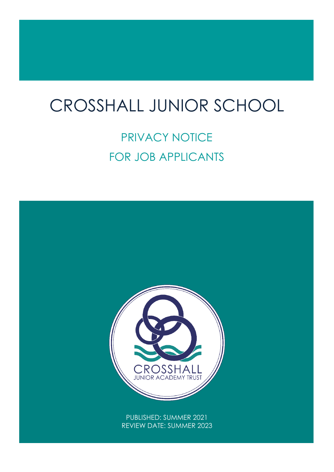# $\overline{1}$ CROSSHALL JUNIOR SCHOOL

# PRIVACY NOTICE FOR JOB APPLICANTS

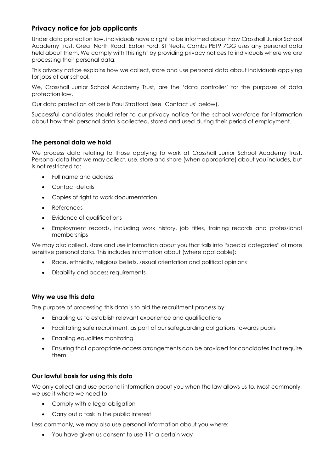# **Privacy notice for job applicants**

Under data protection law, individuals have a right to be informed about how Crosshall Junior School Academy Trust, Great North Road, Eaton Ford, St Neots, Cambs PE19 7GG uses any personal data held about them. We comply with this right by providing privacy notices to individuals where we are processing their personal data.

This privacy notice explains how we collect, store and use personal data about individuals applying for jobs at our school.

We, Crosshall Junior School Academy Trust, are the 'data controller' for the purposes of data protection law.

Our data protection officer is Paul Stratford (see 'Contact us' below).

Successful candidates should refer to our privacy notice for the school workforce for information about how their personal data is collected, stored and used during their period of employment.

### **The personal data we hold**

We process data relating to those applying to work at Crosshall Junior School Academy Trust. Personal data that we may collect, use, store and share (when appropriate) about you includes, but is not restricted to:

- Full name and address
- Contact details
- Copies of right to work documentation
- References
- Evidence of qualifications
- Employment records, including work history, job titles, training records and professional memberships

We may also collect, store and use information about you that falls into "special categories" of more sensitive personal data. This includes information about (where applicable):

- Race, ethnicity, religious beliefs, sexual orientation and political opinions
- Disability and access requirements

# **Why we use this data**

The purpose of processing this data is to aid the recruitment process by:

- Enabling us to establish relevant experience and qualifications
- Facilitating safe recruitment, as part of our safeguarding obligations towards pupils
- Enabling equalities monitoring
- Ensuring that appropriate access arrangements can be provided for candidates that require them

# **Our lawful basis for using this data**

We only collect and use personal information about you when the law allows us to. Most commonly, we use it where we need to:

- Comply with a legal obligation
- Carry out a task in the public interest

Less commonly, we may also use personal information about you where:

You have given us consent to use it in a certain way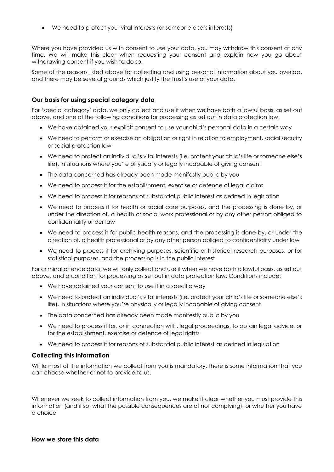We need to protect your vital interests (or someone else's interests)

Where you have provided us with consent to use your data, you may withdraw this consent at any time. We will make this clear when requesting your consent and explain how you go about withdrawing consent if you wish to do so.

Some of the reasons listed above for collecting and using personal information about you overlap, and there may be several grounds which justify the Trust's use of your data.

#### **Our basis for using special category data**

For 'special category' data, we only collect and use it when we have both a lawful basis, as set out above, and one of the following conditions for processing as set out in data protection law:

- We have obtained your explicit consent to use your child's personal data in a certain way
- We need to perform or exercise an obligation or right in relation to employment, social security or social protection law
- We need to protect an individual's vital interests (i.e. protect your child's life or someone else's life), in situations where you're physically or legally incapable of giving consent
- The data concerned has already been made manifestly public by you
- We need to process it for the establishment, exercise or defence of legal claims
- We need to process it for reasons of substantial public interest as defined in legislation
- We need to process it for health or social care purposes, and the processing is done by, or under the direction of, a health or social work professional or by any other person obliged to confidentiality under law
- We need to process it for public health reasons, and the processing is done by, or under the direction of, a health professional or by any other person obliged to confidentiality under law
- We need to process it for archiving purposes, scientific or historical research purposes, or for statistical purposes, and the processing is in the public interest

For criminal offence data, we will only collect and use it when we have both a lawful basis, as set out above, and a condition for processing as set out in data protection law. Conditions include:

- We have obtained your consent to use it in a specific way
- We need to protect an individual's vital interests (i.e. protect your child's life or someone else's life), in situations where you're physically or legally incapable of giving consent
- The data concerned has already been made manifestly public by you
- We need to process it for, or in connection with, legal proceedings, to obtain legal advice, or for the establishment, exercise or defence of legal rights
- We need to process it for reasons of substantial public interest as defined in legislation

#### **Collecting this information**

While most of the information we collect from you is mandatory, there is some information that you can choose whether or not to provide to us.

Whenever we seek to collect information from you, we make it clear whether you must provide this information (and if so, what the possible consequences are of not complying), or whether you have a choice.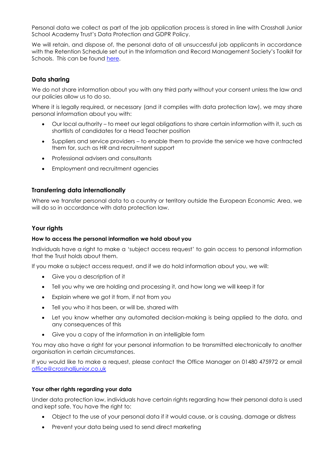Personal data we collect as part of the job application process is stored in line with Crosshall Junior School Academy Trust's Data Protection and GDPR Policy.

We will retain, and dispose of, the personal data of all unsuccessful job applicants in accordance with the Retention Schedule set out in the Information and Record Management Society's Toolkit for Schools. This can be found here.

### **Data sharing**

We do not share information about you with any third party without your consent unless the law and our policies allow us to do so.

Where it is legally required, or necessary (and it complies with data protection law), we may share personal information about you with:

- Our local authority to meet our legal obligations to share certain information with it, such as shortlists of candidates for a Head Teacher position
- Suppliers and service providers to enable them to provide the service we have contracted them for, such as HR and recruitment support
- Professional advisers and consultants
- Employment and recruitment agencies

#### **Transferring data internationally**

Where we transfer personal data to a country or territory outside the European Economic Area, we will do so in accordance with data protection law.

#### **Your rights**

#### **How to access the personal information we hold about you**

Individuals have a right to make a 'subject access request' to gain access to personal information that the Trust holds about them.

If you make a subject access request, and if we do hold information about you, we will:

- Give you a description of it
- Tell you why we are holding and processing it, and how long we will keep it for
- Explain where we got it from, if not from you
- Tell you who it has been, or will be, shared with
- Let you know whether any automated decision-making is being applied to the data, and any consequences of this
- Give you a copy of the information in an intelligible form

You may also have a right for your personal information to be transmitted electronically to another organisation in certain circumstances.

If you would like to make a request, please contact the Office Manager on 01480 475972 or email [office@crosshalljunior.co.uk](mailto:office@crosshalljunior.co.uk)

#### **Your other rights regarding your data**

Under data protection law, individuals have certain rights regarding how their personal data is used and kept safe. You have the right to:

- Object to the use of your personal data if it would cause, or is causing, damage or distress
- Prevent your data being used to send direct marketing